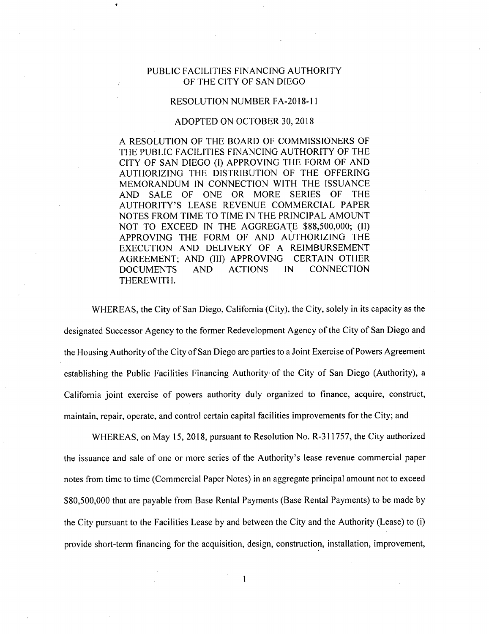## PUBLIC FACILITIES FINANCING AUTHORITY , OF THE CITY OF SAN DIEGO

## RESOLUTION NUMBER FA-2018-11

## ADOPTED ON OCTOBER 30, 2018

A RESOLUTION OF THE BOARD OF COMMISSIONERS OF THE PUBLIC FACILITIES FINANCING AUTHORITY OF THE CITY OF SAN DIEGO (1) APPROVING THE FORM OF AND AUTHORIZING THE DISTRIBUTION OF THE OFFERING MEMORANDUM IN CONNECTION WITH THE ISSUANCE<br>AND SALE OF ONE OR MORE SERIES OF THE AND SALE OF ONE OR MORE AUTHORITY'S LEASE REVENUE COMMERCIAL PAPER NOTES FROM TIME TO TIME IN THE PRINCIPAL AMOUNT NOT TO EXCEED IN THE AGGREGATE \$88,500,000; (II) APPROVING THE FORM OF AND AUTHORIZING THE EXECUTION AND DELIVERY OF A REIMBURSEMENT AGREEMENT; AND (III) APPROVING CERTAIN OTHER<br>DOCUMENTS AND ACTIONS IN CONNECTION DOCUMENTS THEREWITH.

WHEREAS, the City of San Diego, California (City), the City, solely in its capacity as the designated Successor Agency to the former Redevelopment Agency ofthe City of San Diego and the Housing Authority of the City of San Diego are parties to a Joint Exercise of Powers Agreement establishing the Public Facilities Financing Authority of the City of San Diego (Authority), a California joint exercise of powers authority duly organized to finance, acquire, construct, maintain, repair, operate, and control certain capital facilities improvements for the City; and

WHEREAS, on May 15, 2018, pursuant to Resolution No. R-311757, the City authorized the issuance and sale of one or more series of the Authority's lease revenue commercial paper notes from time to time (Commercial Paper Notes) in an aggregate principal amount not to exceed \$80,500,000 that are payable from Base Rental Payments (Base Rental Payments) to be made by the City pursuant to the Facilities Lease by and between the City and the Authority (Lease) to (i) provide short-term financing for the acquisition, design, construction, installation, improvement.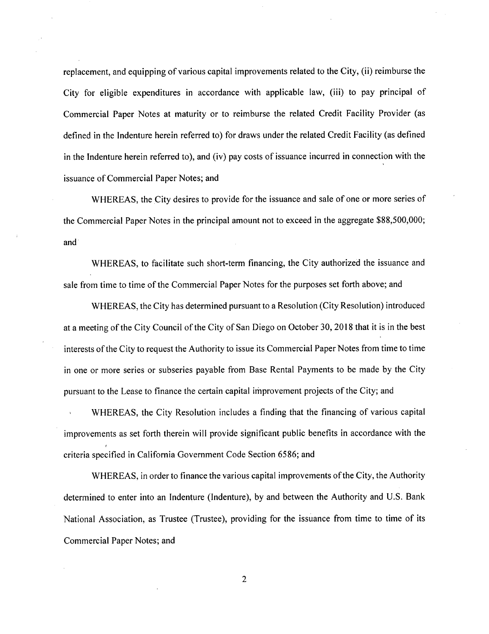replacement, and equipping of various capital improvements related to the City, (ii) reimburse the City for eligible expenditures in accordance with applicable law, (iii) to pay principal of Commercial Paper Notes at maturity or to reimburse the related Credit Faeility Provider (as defined in the Indenture herein referred to) for draws under the related Credit Facility (as defined in the Indenture herein referred to), and (iv) pay costs of issuance incurred in connection with the issuance of Commercial Paper Notes; and

WHEREAS, the City desires to provide for the issuance and sale of one or more series of the Commercial Paper Notes in the principal amount not to exceed in the aggregate \$88,500,000; and

WHEREAS, to facilitate such short-term financing, the City authorized the issuance and sale from time to time of the Commercial Paper Notes for the purposes set forth above; and

WHEREAS, the City has determined pursuant to a Resolution (City Resolution) introduced at a meeting of the City Council of the City of San Diego on October 30, 2018 that it is in the best interests of the City to request the Authority to issue its Commercial Paper Notes from time to time in one or more series or subseries payable from Base Rental Payments to be made by the City pursuant to the Lease to finance the certain capital improvement projects of the City; and

' WHEREAS, the City Resolution includes a finding that the financing of various capital improvements as set forth therein will provide significant public benefits in accordance with the *I* criteria specified in California Government Code Section 6586; and

WHEREAS, in order to finance the various capital improvements of the City, the Authority determined to enter into an Indenture (Indenture), by and between the Authority and U.S. Bank National Association, as Trustee (Trustee), providing for the issuance from time to time of its Commercial Paper Notes; and

 $\overline{2}$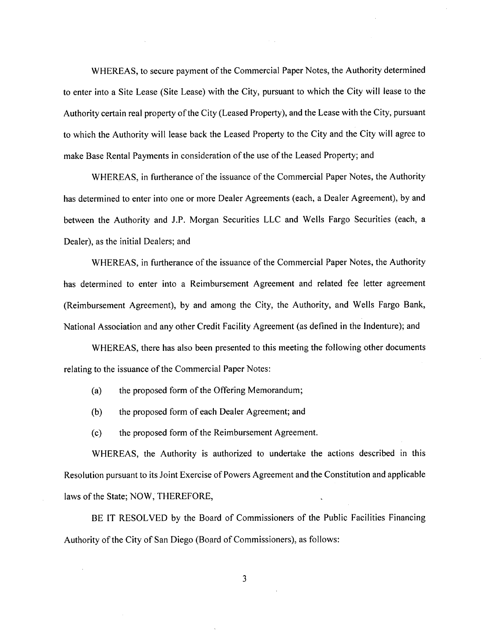WHEREAS, to secure payment of the Commercial Paper Notes, the Authority determined to enter into a Site Lease (Site Lease) with the City, pursuant to which the City will lease to the Authority certain real property of the City (Leased Property), and the Lease with the City, pursuant to which the Authority will lease back the Leased Property to the City and the City will agree to make Base Rental Payments in consideration of the use of the Leased Property; and

WHEREAS, in furtherance of the issuance of the Commercial Paper Notes, the Authority has determined to enter into one or more Dealer Agreements (each, a Dealer Agreement), by and between the Authority and J.P. Morgan Securities LLC and Wells Fargo Securities (each, a Dealer), as the initial Dealers; and

WHEREAS, in furtherance of the issuance of the Commercial Paper Notes, the Authority has determined to enter into a Reimbursement Agreement and related fee letter agreement (Reimbursement Agreement), by and among the City, the Authority, and Wells Fargo Bank, National Association and any other Credit Facility Agreement (as defined in the Indenture); and

WHEREAS, there has also been presented to this meeting the following other documents relating to the issuance of the Commercial Paper Notes:

- (a) the proposed form of the Offering Memorandum;
- (b) the proposed form of each Dealer Agreement; and
- (c) the proposed form of the Reimbursement Agreement.

WHEREAS, the Authority is authorized to undertake the actions described in this Resolution pursuant to its Joint Exercise of Powers Agreement and the Constitution and applicable laws of the State; NOW, THEREFORE,

BE IT RESOLVED by the Board of Commissioners of the Public Facilities Financing Authority of the City of San Diego (Board of Commissioners), as follows:

3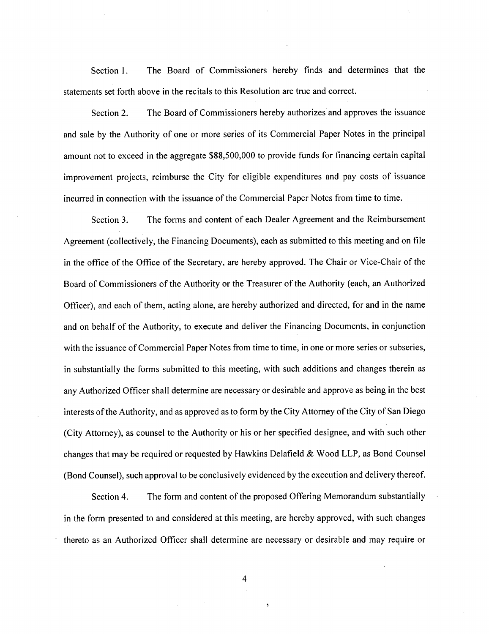Section 1. The Board of Commissioners hereby finds and determines that the statements set forth above in the recitals to this Resolution are true and correct.

Section 2. The Board of Commissioners hereby authorizes and approves the issuance and sale by the Authority of one or more series of its Commercial Paper Notes in the principal amount not to exceed in the aggregate \$88,500,000 to provide funds for financing certain capital improvement projects, reimburse the City for eligible expenditures and pay costs of issuance incurred in connection with the issuance ofthe Commercial Paper Notes from time to time.

Section 3. The forms and content of each Dealer Agreement and the Reimbursement Agreement (collectively, the Financing Documents), each as submitted to this meeting and on file in the office of the Office of the Secretary, are hereby approved. The Chair or Vice-Chair of the Board of Commissioners of the Authority or the Treasurer of the Authority (each, an Authorized Officer), and each of them, acting alone, are hereby authorized and directed, for and in the name and on behalf of the Authority, to execute and deliver the Financing Documents, in conjunction with the issuance of Commercial Paper Notes from time to time, in one or more series or subseries, in substantially the forms submitted to this meeting, with such additions and changes therein as any Authorized Officer shall determine are necessary or desirable and approve as being in the best interests of the Authority, and as approved as to form by the City Attorney of the City of San Diego (City Attorney), as counsel to the Authority or his or her specified designee, and with such other changes that may be required or requested by Hawkins Delafield & Wood LLP, as Bond Counsel (Bond Counsel), such approval to be conclusively evidenced by the execution and delivery thereof

Section 4. The form and content of the proposed Offering Memorandum substantially in the form presented to and considered at this meeting, are hereby approved, with such changes thereto as an Authorized Officer shall determine are necessary or desirable and may require or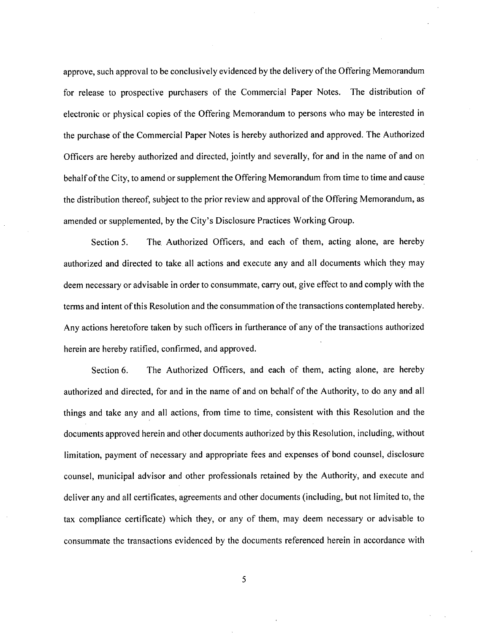approve, such approval to be conclusively evidenced by the delivery ofthe Offering Memorandum for release to prospective purchasers of the Commercial Paper Notes. The distribution of electronic or physical copies of the Offering Memorandum to persons who may be interested in the purchase ofthe Commercial Paper Notes is hereby authorized and approved. The Authorized Officers are hereby authorized and directed, jointly and severally, for and in the name of and on behalf of the City, to amend or supplement the Offering Memorandum from time to time and cause the distribution thereof, subject to the prior review and approval of the Offering Memorandum, as amended or supplemented, by the City's Disclosure Practices Working Group.

Section 5. The, Authorized Officers, and each of them, acting alone, are hereby authorized and directed to take all actions and execute any and all documents which they may deem necessary or advisable in order to consummate, carry out, give effect to and comply with the terms and intent ofthis Resolution and the consummation ofthe transactions contemplated hereby. Any actions heretofore taken by such officers in furtherance of any of the transactions authorized herein are hereby ratified, confirmed, and approved.

Section 6. The Authorized Officers, and each of them, acting alone, are hereby authorized and directed, for and in the name of and on behalf of the Authority, to do any and all things and take any and all actions, from time to time, consistent with this Resolution and the documents approved herein and other documents authorized by this Resolution, including, without limitation, payment of necessary and appropriate fees and expenses of bond counsel, disclosure counsel, municipal advisor and other professionals retained by the Authority, and execute and deliver any and all certificates, agreements and other documents (including, but not limited to, the tax compliance certificate) which they, or any of them, may deem necessary or advisable to consummate the transactions evidenced by the documents referenced herein in accordance with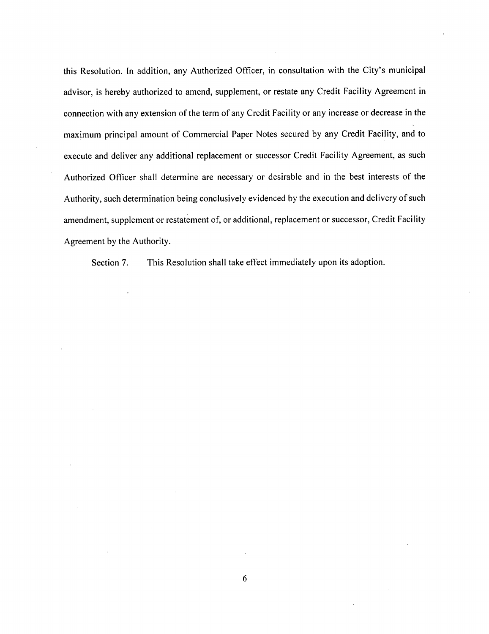this Resolution. In addition, any Authorized Officer, in consultation with the City's municipal advisor, is hereby authorized to amend, supplement, or restate any Credit Facility Agreement in connection with any extension of the term of any Credit Facility or any increase or decrease in the maximum principal amount of Commercial Paper Notes secured by any Credit Facility, and to execute and deliver any additional replacement or successor Credit Facility Agreement, as such Authorized Officer shall determine are necessary or desirable and in the best interests of the Authority, such determination being conclusively evidenced by the execution and delivery of such amendment, supplement or restatement of, or additional, replacement or successor, Credit Facility Agreement by the Authority.

Section 7. This Resolution shall take effect immediately upon its adoption.